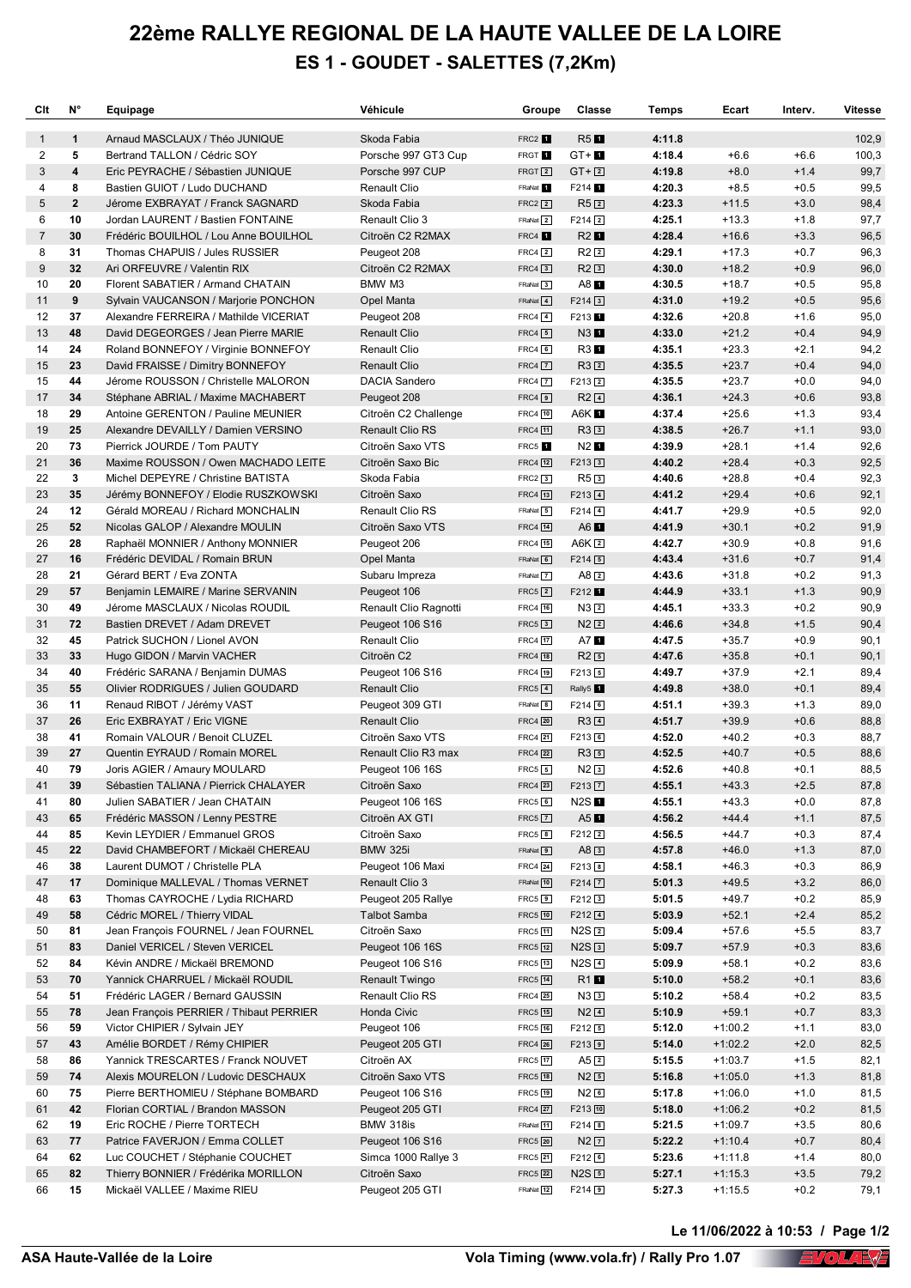## **22ème RALLYE REGIONAL DE LA HAUTE VALLEE DE LA LOIRE ES 1 - GOUDET - SALETTES (7,2Km)**

| Clt          | N°             | Equipage                                                               | Véhicule                                  | Groupe                               | Classe                                  | Temps            | Ecart              | Interv.          | <b>Vitesse</b> |
|--------------|----------------|------------------------------------------------------------------------|-------------------------------------------|--------------------------------------|-----------------------------------------|------------------|--------------------|------------------|----------------|
| $\mathbf{1}$ | $\mathbf{1}$   | Arnaud MASCLAUX / Théo JUNIQUE                                         | Skoda Fabia                               | FRC2 f                               | $R5$ $\blacksquare$                     | 4:11.8           |                    |                  | 102,9          |
| 2            | 5              | Bertrand TALLON / Cédric SOY                                           | Porsche 997 GT3 Cup                       | FRGT <sup>1</sup>                    | $GT + m$                                | 4:18.4           | $+6.6$             | $+6.6$           | 100,3          |
| 3            | 4              | Eric PEYRACHE / Sébastien JUNIQUE                                      | Porsche 997 CUP                           | $FRGT$ $2$                           | $GT + \boxed{2}$                        | 4:19.8           | $+8.0$             | $+1.4$           | 99,7           |
| 4            | 8              | Bastien GUIOT / Ludo DUCHAND                                           | Renault Clio                              | FRaNat 1                             | F214 1                                  | 4:20.3           | $+8.5$             | $+0.5$           | 99,5           |
| 5            | $\overline{2}$ | Jérome EXBRAYAT / Franck SAGNARD                                       | Skoda Fabia                               | $FRC2$ <sup>2</sup>                  | R52                                     | 4:23.3           | $+11.5$            | $+3.0$           | 98,4           |
| 6            | 10             | Jordan LAURENT / Bastien FONTAINE                                      | Renault Clio 3                            | FRaNat 2                             | $F214$ 2                                | 4:25.1           | $+13.3$            | $+1.8$           | 97,7           |
| 7            | 30<br>31       | Frédéric BOUILHOL / Lou Anne BOUILHOL                                  | Citroën C2 R2MAX                          | FRC4 <sub>1</sub>                    | R2                                      | 4:28.4<br>4:29.1 | $+16.6$            | $+3.3$           | 96,5           |
| 8<br>9       | 32             | Thomas CHAPUIS / Jules RUSSIER<br>Ari ORFEUVRE / Valentin RIX          | Peugeot 208<br>Citroën C2 R2MAX           | $FRC4$ $2$<br>$FRC4$ 3               | $R2$ <sup>2</sup><br>$R2$ <sup>3</sup>  | 4:30.0           | $+17.3$<br>$+18.2$ | $+0.7$<br>$+0.9$ | 96,3<br>96,0   |
| 10           | 20             | Florent SABATIER / Armand CHATAIN                                      | BMW M3                                    | FRaNat 3                             | $A8$ $\blacksquare$                     | 4:30.5           | $+18.7$            | $+0.5$           | 95,8           |
| 11           | 9              | Sylvain VAUCANSON / Marjorie PONCHON                                   | Opel Manta                                | FRaNat 4                             | $F214$ 3                                | 4:31.0           | $+19.2$            | $+0.5$           | 95,6           |
| 12           | 37             | Alexandre FERREIRA / Mathilde VICERIAT                                 | Peugeot 208                               | $FRC4$ $4$                           | F213 <sup>1</sup>                       | 4:32.6           | $+20.8$            | $+1.6$           | 95,0           |
| 13           | 48             | David DEGEORGES / Jean Pierre MARIE                                    | <b>Renault Clio</b>                       | $FRC4$ $5$                           | $N3$ $\blacksquare$                     | 4:33.0           | $+21.2$            | $+0.4$           | 94,9           |
| 14           | 24             | Roland BONNEFOY / Virginie BONNEFOY                                    | <b>Renault Clio</b>                       | $FRC4$ 6                             | R3 1                                    | 4:35.1           | $+23.3$            | $+2.1$           | 94,2           |
| 15           | 23             | David FRAISSE / Dimitry BONNEFOY                                       | <b>Renault Clio</b>                       | $FRC4$ $\boxed{7}$                   | R32                                     | 4:35.5           | $+23.7$            | $+0.4$           | 94,0           |
| 15           | 44             | Jérome ROUSSON / Christelle MALORON                                    | DACIA Sandero                             | $FRC4$ $\boxed{7}$                   | $F213$ <sub>2</sub>                     | 4:35.5           | $+23.7$            | $+0.0$           | 94,0           |
| 17           | 34             | Stéphane ABRIAL / Maxime MACHABERT                                     | Peugeot 208                               | $FRC4$ 9                             | $R2$ <sup><math>\Box</math></sup>       | 4:36.1           | $+24.3$            | $+0.6$           | 93,8           |
| 18           | 29             | Antoine GERENTON / Pauline MEUNIER                                     | Citroën C2 Challenge                      | FRC4 [10]                            | A6K <sub>I</sub>                        | 4:37.4           | $+25.6$            | $+1.3$           | 93,4           |
| 19           | 25             | Alexandre DEVAILLY / Damien VERSINO                                    | <b>Renault Clio RS</b>                    | <b>FRC4</b> 11                       | $R3$ <sup>3</sup>                       | 4:38.5           | $+26.7$            | $+1.1$           | 93,0           |
| 20           | 73             | Pierrick JOURDE / Tom PAUTY                                            | Citroën Saxo VTS                          | FRC5 <sup>1</sup>                    | $N2$ $\blacksquare$                     | 4:39.9           | $+28.1$            | $+1.4$           | 92,6           |
| 21           | 36             | Maxime ROUSSON / Owen MACHADO LEITE                                    | Citroën Saxo Bic                          | <b>FRC4</b> 12                       | $F213$ 3                                | 4:40.2           | $+28.4$            | $+0.3$           | 92,5           |
| 22           | 3              | Michel DEPEYRE / Christine BATISTA                                     | Skoda Fabia                               | $FRC2$ 3                             | $R5$ <sup>3</sup>                       | 4:40.6           | $+28.8$            | $+0.4$           | 92,3           |
| 23           | 35             | Jérémy BONNEFOY / Elodie RUSZKOWSKI                                    | Citroën Saxo                              | <b>FRC4</b> [13]                     | $F213$ <sup>4</sup>                     | 4:41.2           | $+29.4$            | $+0.6$           | 92,1           |
| 24           | 12             | Gérald MOREAU / Richard MONCHALIN                                      | Renault Clio RS                           | FRaNat 5                             | $F214$ $4$                              | 4:41.7           | $+29.9$            | $+0.5$           | 92,0           |
| 25           | 52             | Nicolas GALOP / Alexandre MOULIN                                       | Citroën Saxo VTS                          | <b>FRC4</b> 14                       | $A6$ $\blacksquare$                     | 4:41.9           | $+30.1$            | $+0.2$           | 91,9           |
| 26           | 28             | Raphaël MONNIER / Anthony MONNIER                                      | Peugeot 206                               | <b>FRC4</b> 15                       | A6K $2$                                 | 4:42.7           | $+30.9$            | $+0.8$           | 91,6           |
| 27           | 16             | Frédéric DEVIDAL / Romain BRUN                                         | Opel Manta                                | FRaNat 6                             | $F214$ 5                                | 4:43.4           | $+31.6$            | $+0.7$           | 91,4           |
| 28           | 21             | Gérard BERT / Eva ZONTA                                                | Subaru Impreza                            | FRaNat 7                             | $A8$ 2                                  | 4:43.6           | $+31.8$            | $+0.2$           | 91,3           |
| 29<br>30     | 57<br>49       | Benjamin LEMAIRE / Marine SERVANIN<br>Jérome MASCLAUX / Nicolas ROUDIL | Peugeot 106<br>Renault Clio Ragnotti      | $FRC5$ $\boxed{2}$<br><b>FRC4</b> 16 | F212 <sup>1</sup><br>N32                | 4:44.9<br>4:45.1 | $+33.1$<br>$+33.3$ | $+1.3$<br>$+0.2$ | 90,9<br>90,9   |
| 31           | 72             | Bastien DREVET / Adam DREVET                                           | Peugeot 106 S16                           | $FRC5$ $3$                           | $N2$ $2$                                | 4:46.6           | $+34.8$            | $+1.5$           | 90,4           |
| 32           | 45             | Patrick SUCHON / Lionel AVON                                           | Renault Clio                              | FRC4 17                              | A7 1                                    | 4:47.5           | $+35.7$            | $+0.9$           | 90,1           |
| 33           | 33             | Hugo GIDON / Marvin VACHER                                             | Citroën C2                                | <b>FRC4</b> 18                       | $R2$ 5                                  | 4:47.6           | $+35.8$            | $+0.1$           | 90,1           |
| 34           | 40             | Frédéric SARANA / Benjamin DUMAS                                       | Peugeot 106 S16                           | FRC4 [19]                            | $F213$ 5                                | 4:49.7           | $+37.9$            | $+2.1$           | 89,4           |
| 35           | 55             | Olivier RODRIGUES / Julien GOUDARD                                     | <b>Renault Clio</b>                       | $FRC5$ $4$                           | Rally5 <sup>1</sup>                     | 4:49.8           | $+38.0$            | $+0.1$           | 89,4           |
| 36           | 11             | Renaud RIBOT / Jérémy VAST                                             | Peugeot 309 GTI                           | FRaNat 8                             | $F214$ 6                                | 4:51.1           | $+39.3$            | $+1.3$           | 89,0           |
| 37           | 26             | Eric EXBRAYAT / Eric VIGNE                                             | <b>Renault Clio</b>                       | <b>FRC4</b> 20                       | $R3$ <sup>4</sup>                       | 4:51.7           | $+39.9$            | $+0.6$           | 88,8           |
| 38           | 41             | Romain VALOUR / Benoit CLUZEL                                          | Citroën Saxo VTS                          | FRC4 21                              | F213 <sub>6</sub>                       | 4:52.0           | $+40.2$            | $+0.3$           | 88,7           |
| 39           | 27             | Quentin EYRAUD / Romain MOREL                                          | Renault Clio R3 max                       | FRC4 22                              | $R3$ $\Box$                             | 4:52.5           | $+40.7$            | $+0.5$           | 88,6           |
| 40           | 79             | Joris AGIER / Amaury MOULARD                                           | Peugeot 106 16S                           | $FRC5$ 5                             | $N2$ 3                                  | 4:52.6           | $+40.8$            | $+0.1$           | 88,5           |
| 41           | 39             | Sébastien TALIANA / Pierrick CHALAYER                                  | Citroën Saxo                              | FRC4 23                              | F213 7                                  | 4:55.1           | $+43.3$            | $+2.5$           | 87,8           |
| 41           | 80             | Julien SABATIER / Jean CHATAIN                                         | Peugeot 106 16S                           | $FRC5$ 6                             | <b>N2S1</b>                             | 4:55.1           | $+43.3$            | $+0.0$           | 87,8           |
| 43           | 65             | Frédéric MASSON / Lenny PESTRE                                         | Citroën AX GTI                            | $FRC5$ $\boxed{7}$                   | $A5$ $\blacksquare$                     | 4:56.2           | $+44.4$            | $+1.1$           | 87,5           |
| 44           | 85             | Kevin LEYDIER / Emmanuel GROS                                          | Citroën Saxo                              | $FRC5$ $\boxed{8}$                   | F212 <sub>2</sub>                       | 4:56.5           | $+44.7$            | $+0.3$           | 87,4           |
| 45           | 22             | David CHAMBEFORT / Mickaël CHEREAU                                     | <b>BMW 325i</b>                           | FRaNat 9                             | $A8$ 3                                  | 4:57.8           | $+46.0$            | $+1.3$           | 87,0           |
| 46           | 38             | Laurent DUMOT / Christelle PLA                                         | Peugeot 106 Maxi                          | <b>FRC4</b> 24                       | F213 <sup>8</sup>                       | 4:58.1           | $+46.3$            | $+0.3$           | 86,9           |
| 47           | 17             | Dominique MALLEVAL / Thomas VERNET                                     | Renault Clio 3                            | FRaNat 10                            | $F214$ $\boxed{7}$                      | 5:01.3           | $+49.5$            | $+3.2$           | 86,0           |
| 48<br>49     | 63<br>58       | Thomas CAYROCHE / Lydia RICHARD<br>Cédric MOREL / Thierry VIDAL        | Peugeot 205 Rallye<br><b>Talbot Samba</b> | $FRC5$ 9<br>FRC5 10                  | F212 <sub>3</sub><br>$F212$ $\boxed{4}$ | 5:01.5<br>5:03.9 | $+49.7$<br>$+52.1$ | $+0.2$<br>$+2.4$ | 85,9<br>85,2   |
| 50           | 81             | Jean François FOURNEL / Jean FOURNEL                                   | Citroën Saxo                              | FRC5 [11]                            | N2S <sub>2</sub>                        | 5:09.4           | $+57.6$            | $+5.5$           | 83,7           |
| 51           | 83             | Daniel VERICEL / Steven VERICEL                                        | Peugeot 106 16S                           | FRC5 [12]                            | $N2S$ <sup>3</sup>                      | 5:09.7           | $+57.9$            | $+0.3$           | 83,6           |
| 52           | 84             | Kévin ANDRE / Mickaël BREMOND                                          | Peugeot 106 S16                           | FRC5 13                              | $N2S$ <sup>4</sup>                      | 5:09.9           | $+58.1$            | $+0.2$           | 83,6           |
| 53           | 70             | Yannick CHARRUEL / Mickaël ROUDIL                                      | <b>Renault Twingo</b>                     | FRC5 14                              | $R1$ $\blacksquare$                     | 5:10.0           | $+58.2$            | $+0.1$           | 83,6           |
| 54           | 51             | Frédéric LAGER / Bernard GAUSSIN                                       | Renault Clio RS                           | FRC4 25                              | $N3$ 3                                  | 5:10.2           | $+58.4$            | $+0.2$           | 83,5           |
| 55           | 78             | Jean François PERRIER / Thibaut PERRIER                                | Honda Civic                               | FRC5 [15]                            | $N2$ $\boxed{4}$                        | 5:10.9           | $+59.1$            | $+0.7$           | 83,3           |
| 56           | 59             | Victor CHIPIER / Sylvain JEY                                           | Peugeot 106                               | FRC5 [16]                            | $F212$ 5                                | 5:12.0           | $+1:00.2$          | $+1.1$           | 83,0           |
| 57           | 43             | Amélie BORDET / Rémy CHIPIER                                           | Peugeot 205 GTI                           | <b>FRC4</b> 26                       | $F213$ 9                                | 5:14.0           | $+1:02.2$          | $+2.0$           | 82,5           |
| 58           | 86             | Yannick TRESCARTES / Franck NOUVET                                     | Citroën AX                                | FRC5 17                              | A52                                     | 5:15.5           | $+1:03.7$          | $+1.5$           | 82,1           |
| 59           | 74             | Alexis MOURELON / Ludovic DESCHAUX                                     | Citroën Saxo VTS                          | FRC5 18                              | $N2$ 5                                  | 5:16.8           | $+1:05.0$          | $+1.3$           | 81,8           |
| 60           | 75             | Pierre BERTHOMIEU / Stéphane BOMBARD                                   | Peugeot 106 S16                           | FRC5 19                              | $N2$ 6                                  | 5:17.8           | $+1:06.0$          | $+1.0$           | 81,5           |
| 61           | 42             | Florian CORTIAL / Brandon MASSON                                       | Peugeot 205 GTI                           | FRC4 27                              | F213 10                                 | 5:18.0           | $+1:06.2$          | $+0.2$           | 81,5           |
| 62           | 19             | Eric ROCHE / Pierre TORTECH                                            | BMW 318is                                 | FRaNat 11                            | $F214$ 8                                | 5:21.5           | $+1:09.7$          | $+3.5$           | 80,6           |
| 63           | 77             | Patrice FAVERJON / Emma COLLET                                         | Peugeot 106 S16                           | <b>FRC5</b> 20                       | $N2$ $\boxed{7}$                        | 5:22.2           | $+1:10.4$          | $+0.7$           | 80,4           |
| 64           | 62             | Luc COUCHET / Stéphanie COUCHET                                        | Simca 1000 Rallye 3                       | FRC5 21                              | F212 <sub>6</sub>                       | 5:23.6           | $+1:11.8$          | $+1.4$           | 80,0           |
| 65           | 82             | Thierry BONNIER / Frédérika MORILLON                                   | Citroën Saxo                              | FRC5 22                              | $N2S$ 5                                 | 5:27.1           | $+1:15.3$          | $+3.5$           | 79,2           |
| 66           | 15             | Mickaël VALLEE / Maxime RIEU                                           | Peugeot 205 GTI                           | FRaNat 12                            | $F214$ 9                                | 5:27.3           | $+1:15.5$          | $+0.2$           | 79,1           |

<u>Volanda Soft</u> **Le 11/06/2022 à 10:53 / Page 1/2**